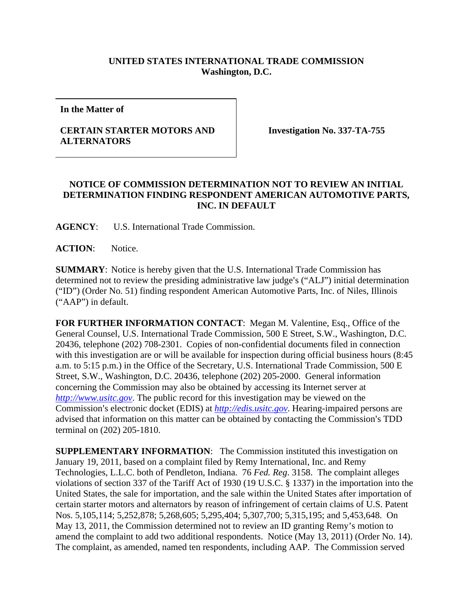## **UNITED STATES INTERNATIONAL TRADE COMMISSION Washington, D.C.**

**In the Matter of** 

## **CERTAIN STARTER MOTORS AND ALTERNATORS**

**Investigation No. 337-TA-755** 

## **NOTICE OF COMMISSION DETERMINATION NOT TO REVIEW AN INITIAL DETERMINATION FINDING RESPONDENT AMERICAN AUTOMOTIVE PARTS, INC. IN DEFAULT**

**AGENCY**: U.S. International Trade Commission.

ACTION: Notice.

**SUMMARY**: Notice is hereby given that the U.S. International Trade Commission has determined not to review the presiding administrative law judge's ("ALJ") initial determination ("ID") (Order No. 51) finding respondent American Automotive Parts, Inc. of Niles, Illinois ("AAP") in default.

**FOR FURTHER INFORMATION CONTACT**: Megan M. Valentine, Esq., Office of the General Counsel, U.S. International Trade Commission, 500 E Street, S.W., Washington, D.C. 20436, telephone (202) 708-2301. Copies of non-confidential documents filed in connection with this investigation are or will be available for inspection during official business hours (8:45 a.m. to 5:15 p.m.) in the Office of the Secretary, U.S. International Trade Commission, 500 E Street, S.W., Washington, D.C. 20436, telephone (202) 205-2000. General information concerning the Commission may also be obtained by accessing its Internet server at *http://www.usitc.gov*. The public record for this investigation may be viewed on the Commission's electronic docket (EDIS) at *http://edis.usitc.gov*. Hearing-impaired persons are advised that information on this matter can be obtained by contacting the Commission's TDD terminal on (202) 205-1810.

**SUPPLEMENTARY INFORMATION**: The Commission instituted this investigation on January 19, 2011, based on a complaint filed by Remy International, Inc. and Remy Technologies, L.L.C. both of Pendleton, Indiana. 76 *Fed. Reg*. 3158. The complaint alleges violations of section 337 of the Tariff Act of 1930 (19 U.S.C. § 1337) in the importation into the United States, the sale for importation, and the sale within the United States after importation of certain starter motors and alternators by reason of infringement of certain claims of U.S. Patent Nos. 5,105,114; 5,252,878; 5,268,605; 5,295,404; 5,307,700; 5,315,195; and 5,453,648. On May 13, 2011, the Commission determined not to review an ID granting Remy's motion to amend the complaint to add two additional respondents. Notice (May 13, 2011) (Order No. 14). The complaint, as amended, named ten respondents, including AAP. The Commission served